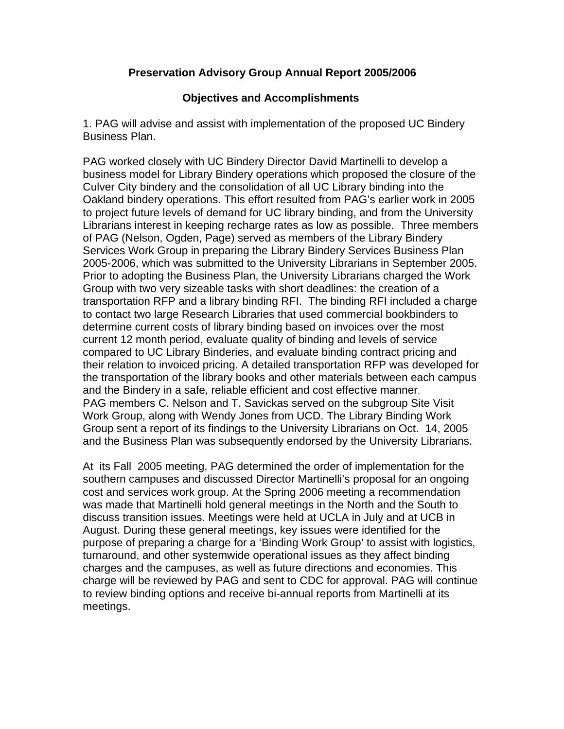## **Preservation Advisory Group Annual Report 2005/2006**

## **Objectives and Accomplishments**

1. PAG will advise and assist with implementation of the proposed UC Bindery Business Plan.

PAG worked closely with UC Bindery Director David Martinelli to develop a business model for Library Bindery operations which proposed the closure of the Culver City bindery and the consolidation of all UC Library binding into the Oakland bindery operations. This effort resulted from PAG's earlier work in 2005 to project future levels of demand for UC library binding, and from the University Librarians interest in keeping recharge rates as low as possible. Three members of PAG (Nelson, Ogden, Page) served as members of the Library Bindery Services Work Group in preparing the Library Bindery Services Business Plan 2005-2006, which was submitted to the University Librarians in September 2005. Prior to adopting the Business Plan, the University Librarians charged the Work Group with two very sizeable tasks with short deadlines: the creation of a transportation RFP and a library binding RFI. The binding RFI included a charge to contact two large Research Libraries that used commercial bookbinders to determine current costs of library binding based on invoices over the most current 12 month period, evaluate quality of binding and levels of service compared to UC Library Binderies, and evaluate binding contract pricing and their relation to invoiced pricing. A detailed transportation RFP was developed for the transportation of the library books and other materials between each campus and the Bindery in a safe, reliable efficient and cost effective manner. PAG members C. Nelson and T. Savickas served on the subgroup Site Visit Work Group, along with Wendy Jones from UCD. The Library Binding Work Group sent a report of its findings to the University Librarians on Oct. 14, 2005 and the Business Plan was subsequently endorsed by the University Librarians.

At its Fall 2005 meeting, PAG determined the order of implementation for the southern campuses and discussed Director Martinelli's proposal for an ongoing cost and services work group. At the Spring 2006 meeting a recommendation was made that Martinelli hold general meetings in the North and the South to discuss transition issues. Meetings were held at UCLA in July and at UCB in August. During these general meetings, key issues were identified for the purpose of preparing a charge for a 'Binding Work Group' to assist with logistics, turnaround, and other systemwide operational issues as they affect binding charges and the campuses, as well as future directions and economies. This charge will be reviewed by PAG and sent to CDC for approval. PAG will continue to review binding options and receive bi-annual reports from Martinelli at its meetings.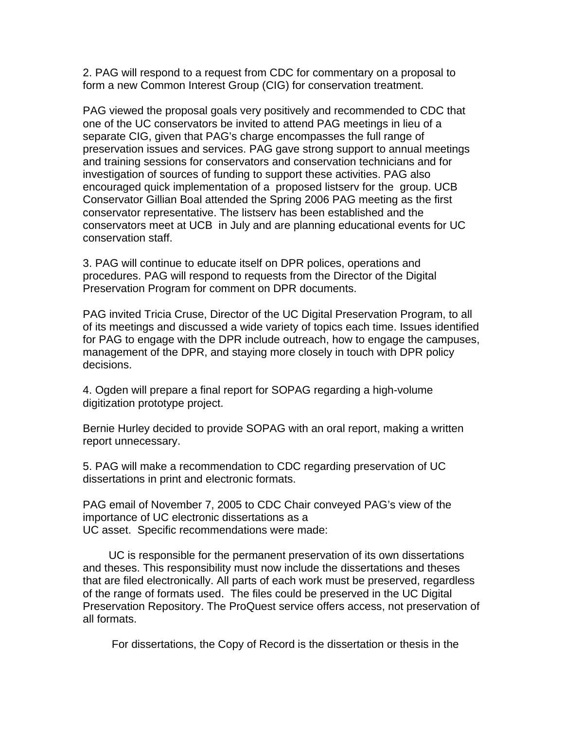2. PAG will respond to a request from CDC for commentary on a proposal to form a new Common Interest Group (CIG) for conservation treatment.

PAG viewed the proposal goals very positively and recommended to CDC that one of the UC conservators be invited to attend PAG meetings in lieu of a separate CIG, given that PAG's charge encompasses the full range of preservation issues and services. PAG gave strong support to annual meetings and training sessions for conservators and conservation technicians and for investigation of sources of funding to support these activities. PAG also encouraged quick implementation of a proposed listserv for the group. UCB Conservator Gillian Boal attended the Spring 2006 PAG meeting as the first conservator representative. The listserv has been established and the conservators meet at UCB in July and are planning educational events for UC conservation staff.

3. PAG will continue to educate itself on DPR polices, operations and procedures. PAG will respond to requests from the Director of the Digital Preservation Program for comment on DPR documents.

PAG invited Tricia Cruse, Director of the UC Digital Preservation Program, to all of its meetings and discussed a wide variety of topics each time. Issues identified for PAG to engage with the DPR include outreach, how to engage the campuses, management of the DPR, and staying more closely in touch with DPR policy decisions.

4. Ogden will prepare a final report for SOPAG regarding a high-volume digitization prototype project.

Bernie Hurley decided to provide SOPAG with an oral report, making a written report unnecessary.

5. PAG will make a recommendation to CDC regarding preservation of UC dissertations in print and electronic formats.

PAG email of November 7, 2005 to CDC Chair conveyed PAG's view of the importance of UC electronic dissertations as a UC asset. Specific recommendations were made:

 UC is responsible for the permanent preservation of its own dissertations and theses. This responsibility must now include the dissertations and theses that are filed electronically. All parts of each work must be preserved, regardless of the range of formats used. The files could be preserved in the UC Digital Preservation Repository. The ProQuest service offers access, not preservation of all formats.

For dissertations, the Copy of Record is the dissertation or thesis in the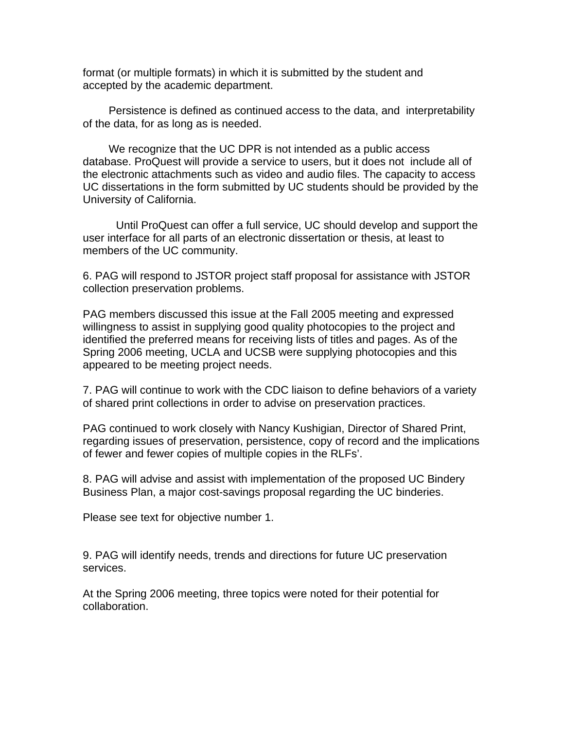format (or multiple formats) in which it is submitted by the student and accepted by the academic department.

 Persistence is defined as continued access to the data, and interpretability of the data, for as long as is needed.

 We recognize that the UC DPR is not intended as a public access database. ProQuest will provide a service to users, but it does not include all of the electronic attachments such as video and audio files. The capacity to access UC dissertations in the form submitted by UC students should be provided by the University of California.

Until ProQuest can offer a full service, UC should develop and support the user interface for all parts of an electronic dissertation or thesis, at least to members of the UC community.

6. PAG will respond to JSTOR project staff proposal for assistance with JSTOR collection preservation problems.

PAG members discussed this issue at the Fall 2005 meeting and expressed willingness to assist in supplying good quality photocopies to the project and identified the preferred means for receiving lists of titles and pages. As of the Spring 2006 meeting, UCLA and UCSB were supplying photocopies and this appeared to be meeting project needs.

7. PAG will continue to work with the CDC liaison to define behaviors of a variety of shared print collections in order to advise on preservation practices.

PAG continued to work closely with Nancy Kushigian, Director of Shared Print, regarding issues of preservation, persistence, copy of record and the implications of fewer and fewer copies of multiple copies in the RLFs'.

8. PAG will advise and assist with implementation of the proposed UC Bindery Business Plan, a major cost-savings proposal regarding the UC binderies.

Please see text for objective number 1.

9. PAG will identify needs, trends and directions for future UC preservation services.

At the Spring 2006 meeting, three topics were noted for their potential for collaboration.